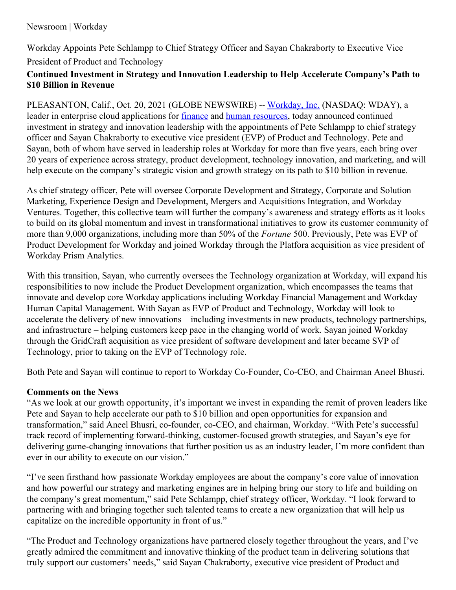## Newsroom | Workday

Workday Appoints Pete Schlampp to Chief Strategy Officer and Sayan Chakraborty to Executive Vice President of Product and Technology

# **Continued Investment in Strategy and Innovation Leadership to Help Accelerate Company's Path to \$10 Billion in Revenue**

PLEASANTON, Calif., Oct. 20, 2021 (GLOBE NEWSWIRE) -- [Workday,](http://www.workday.com/) Inc. (NASDAQ: WDAY), a leader in enterprise cloud applications for [finance](https://www.workday.com/en-us/products/financial-management/overview.html) and human [resources](https://www.workday.com/en-us/products/human-capital-management/overview.html), today announced continued investment in strategy and innovation leadership with the appointments of Pete Schlampp to chief strategy officer and Sayan Chakraborty to executive vice president (EVP) of Product and Technology. Pete and Sayan, both of whom have served in leadership roles at Workday for more than five years, each bring over 20 years of experience across strategy, product development, technology innovation, and marketing, and will help execute on the company's strategic vision and growth strategy on its path to \$10 billion in revenue.

As chief strategy officer, Pete will oversee Corporate Development and Strategy, Corporate and Solution Marketing, Experience Design and Development, Mergers and Acquisitions Integration, and Workday Ventures. Together, this collective team will further the company's awareness and strategy efforts as it looks to build on its global momentum and invest in transformational initiatives to grow its customer community of more than 9,000 organizations, including more than 50% of the *Fortune* 500. Previously, Pete was EVP of Product Development for Workday and joined Workday through the Platfora acquisition as vice president of Workday Prism Analytics.

With this transition, Sayan, who currently oversees the Technology organization at Workday, will expand his responsibilities to now include the Product Development organization, which encompasses the teams that innovate and develop core Workday applications including Workday Financial Management and Workday Human Capital Management. With Sayan as EVP of Product and Technology, Workday will look to accelerate the delivery of new innovations – including investments in new products, technology partnerships, and infrastructure – helping customers keep pace in the changing world of work. Sayan joined Workday through the GridCraft acquisition as vice president of software development and later became SVP of Technology, prior to taking on the EVP of Technology role.

Both Pete and Sayan will continue to report to Workday Co-Founder, Co-CEO, and Chairman Aneel Bhusri.

### **Comments on the News**

"As we look at our growth opportunity, it's important we invest in expanding the remit of proven leaders like Pete and Sayan to help accelerate our path to \$10 billion and open opportunities for expansion and transformation," said Aneel Bhusri, co-founder, co-CEO, and chairman, Workday. "With Pete's successful track record of implementing forward-thinking, customer-focused growth strategies, and Sayan's eye for delivering game-changing innovations that further position us as an industry leader, I'm more confident than ever in our ability to execute on our vision."

"I've seen firsthand how passionate Workday employees are about the company's core value of innovation and how powerful our strategy and marketing engines are in helping bring our story to life and building on the company's great momentum," said Pete Schlampp, chief strategy officer, Workday. "I look forward to partnering with and bringing together such talented teams to create a new organization that will help us capitalize on the incredible opportunity in front of us."

"The Product and Technology organizations have partnered closely together throughout the years, and I've greatly admired the commitment and innovative thinking of the product team in delivering solutions that truly support our customers' needs," said Sayan Chakraborty, executive vice president of Product and